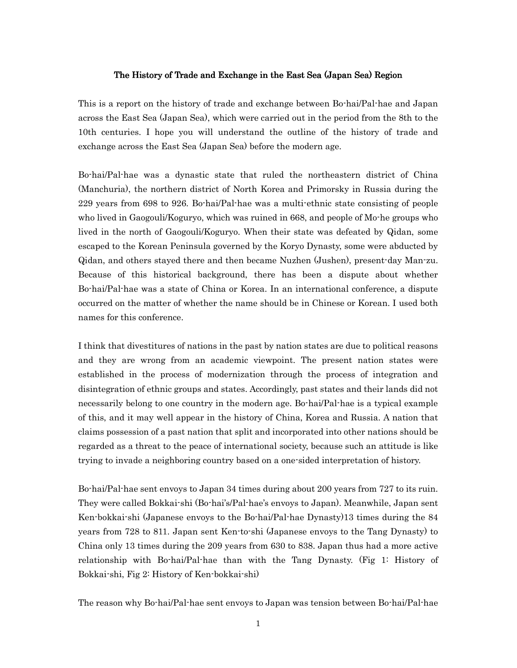## The History of Trade and Exchange in the East Sea (Japan Sea) Region

This is a report on the history of trade and exchange between Bo-hai/Pal-hae and Japan across the East Sea (Japan Sea), which were carried out in the period from the 8th to the 10th centuries. I hope you will understand the outline of the history of trade and exchange across the East Sea (Japan Sea) before the modern age.

Bo-hai/Pal-hae was a dynastic state that ruled the northeastern district of China (Manchuria), the northern district of North Korea and Primorsky in Russia during the 229 years from 698 to 926. Bo-hai/Pal-hae was a multi-ethnic state consisting of people who lived in Gaogouli/Koguryo, which was ruined in 668, and people of Mo-he groups who lived in the north of Gaogouli/Koguryo. When their state was defeated by Qidan, some escaped to the Korean Peninsula governed by the Koryo Dynasty, some were abducted by Qidan, and others stayed there and then became Nuzhen (Jushen), present-day Man-zu. Because of this historical background, there has been a dispute about whether Bo-hai/Pal-hae was a state of China or Korea. In an international conference, a dispute occurred on the matter of whether the name should be in Chinese or Korean. I used both names for this conference.

I think that divestitures of nations in the past by nation states are due to political reasons and they are wrong from an academic viewpoint. The present nation states were established in the process of modernization through the process of integration and disintegration of ethnic groups and states. Accordingly, past states and their lands did not necessarily belong to one country in the modern age. Bo-hai/Pal-hae is a typical example of this, and it may well appear in the history of China, Korea and Russia. A nation that claims possession of a past nation that split and incorporated into other nations should be regarded as a threat to the peace of international society, because such an attitude is like trying to invade a neighboring country based on a one-sided interpretation of history.

Bo-hai/Pal-hae sent envoys to Japan 34 times during about 200 years from 727 to its ruin. They were called Bokkai-shi (Bo-hai's/Pal-hae's envoys to Japan). Meanwhile, Japan sent Ken-bokkai-shi (Japanese envoys to the Bo-hai/Pal-hae Dynasty)13 times during the 84 years from 728 to 811. Japan sent Ken-to-shi (Japanese envoys to the Tang Dynasty) to China only 13 times during the 209 years from 630 to 838. Japan thus had a more active relationship with Bo-hai/Pal-hae than with the Tang Dynasty. (Fig 1: History of Bokkai-shi, Fig 2: History of Ken-bokkai-shi)

The reason why Bo-hai/Pal-hae sent envoys to Japan was tension between Bo-hai/Pal-hae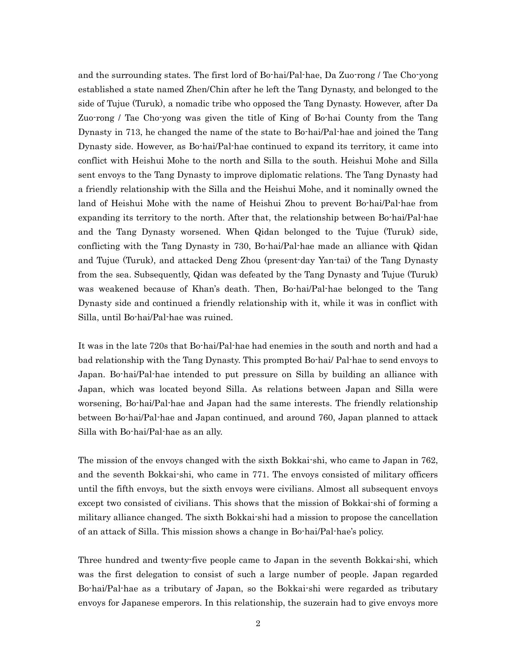and the surrounding states. The first lord of Bo-hai/Pal-hae, Da Zuo-rong / Tae Cho-yong established a state named Zhen/Chin after he left the Tang Dynasty, and belonged to the side of Tujue (Turuk), a nomadic tribe who opposed the Tang Dynasty. However, after Da Zuo-rong / Tae Cho-yong was given the title of King of Bo-hai County from the Tang Dynasty in 713, he changed the name of the state to Bo-hai/Pal-hae and joined the Tang Dynasty side. However, as Bo-hai/Pal-hae continued to expand its territory, it came into conflict with Heishui Mohe to the north and Silla to the south. Heishui Mohe and Silla sent envoys to the Tang Dynasty to improve diplomatic relations. The Tang Dynasty had a friendly relationship with the Silla and the Heishui Mohe, and it nominally owned the land of Heishui Mohe with the name of Heishui Zhou to prevent Bo-hai/Pal-hae from expanding its territory to the north. After that, the relationship between Bo-hai/Pal-hae and the Tang Dynasty worsened. When Qidan belonged to the Tujue (Turuk) side, conflicting with the Tang Dynasty in 730, Bo-hai/Pal-hae made an alliance with Qidan and Tujue (Turuk), and attacked Deng Zhou (present-day Yan-tai) of the Tang Dynasty from the sea. Subsequently, Qidan was defeated by the Tang Dynasty and Tujue (Turuk) was weakened because of Khan's death. Then, Bo-hai/Pal-hae belonged to the Tang Dynasty side and continued a friendly relationship with it, while it was in conflict with Silla, until Bo-hai/Pal-hae was ruined.

It was in the late 720s that Bo-hai/Pal-hae had enemies in the south and north and had a bad relationship with the Tang Dynasty. This prompted Bo-hai/ Pal-hae to send envoys to Japan. Bo-hai/Pal-hae intended to put pressure on Silla by building an alliance with Japan, which was located beyond Silla. As relations between Japan and Silla were worsening, Bo-hai/Pal-hae and Japan had the same interests. The friendly relationship between Bo-hai/Pal-hae and Japan continued, and around 760, Japan planned to attack Silla with Bo-hai/Pal-hae as an ally.

The mission of the envoys changed with the sixth Bokkai-shi, who came to Japan in 762, and the seventh Bokkai-shi, who came in 771. The envoys consisted of military officers until the fifth envoys, but the sixth envoys were civilians. Almost all subsequent envoys except two consisted of civilians. This shows that the mission of Bokkai-shi of forming a military alliance changed. The sixth Bokkai-shi had a mission to propose the cancellation of an attack of Silla. This mission shows a change in Bo-hai/Pal-hae's policy.

Three hundred and twenty-five people came to Japan in the seventh Bokkai-shi, which was the first delegation to consist of such a large number of people. Japan regarded Bo-hai/Pal-hae as a tributary of Japan, so the Bokkai-shi were regarded as tributary envoys for Japanese emperors. In this relationship, the suzerain had to give envoys more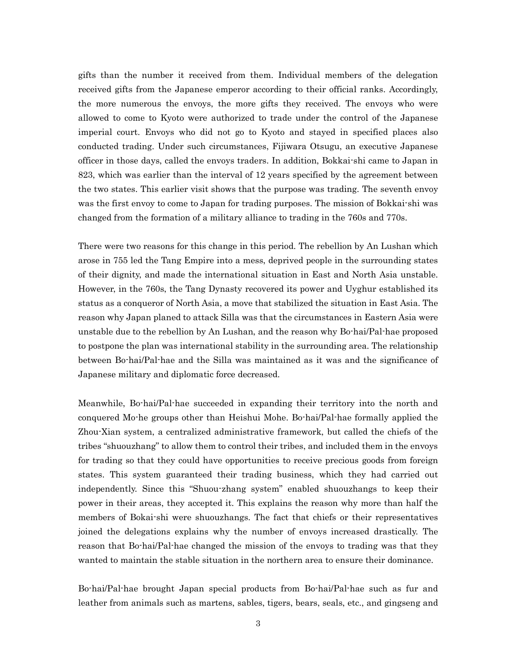gifts than the number it received from them. Individual members of the delegation received gifts from the Japanese emperor according to their official ranks. Accordingly, the more numerous the envoys, the more gifts they received. The envoys who were allowed to come to Kyoto were authorized to trade under the control of the Japanese imperial court. Envoys who did not go to Kyoto and stayed in specified places also conducted trading. Under such circumstances, Fijiwara Otsugu, an executive Japanese officer in those days, called the envoys traders. In addition, Bokkai-shi came to Japan in 823, which was earlier than the interval of 12 years specified by the agreement between the two states. This earlier visit shows that the purpose was trading. The seventh envoy was the first envoy to come to Japan for trading purposes. The mission of Bokkai-shi was changed from the formation of a military alliance to trading in the 760s and 770s.

There were two reasons for this change in this period. The rebellion by An Lushan which arose in 755 led the Tang Empire into a mess, deprived people in the surrounding states of their dignity, and made the international situation in East and North Asia unstable. However, in the 760s, the Tang Dynasty recovered its power and Uyghur established its status as a conqueror of North Asia, a move that stabilized the situation in East Asia. The reason why Japan planed to attack Silla was that the circumstances in Eastern Asia were unstable due to the rebellion by An Lushan, and the reason why Bo-hai/Pal-hae proposed to postpone the plan was international stability in the surrounding area. The relationship between Bo-hai/Pal-hae and the Silla was maintained as it was and the significance of Japanese military and diplomatic force decreased.

Meanwhile, Bo-hai/Pal-hae succeeded in expanding their territory into the north and conquered Mo-he groups other than Heishui Mohe. Bo-hai/Pal-hae formally applied the Zhou-Xian system, a centralized administrative framework, but called the chiefs of the tribes "shuouzhang" to allow them to control their tribes, and included them in the envoys for trading so that they could have opportunities to receive precious goods from foreign states. This system guaranteed their trading business, which they had carried out independently. Since this "Shuou-zhang system" enabled shuouzhangs to keep their power in their areas, they accepted it. This explains the reason why more than half the members of Bokai-shi were shuouzhangs. The fact that chiefs or their representatives joined the delegations explains why the number of envoys increased drastically. The reason that Bo-hai/Pal-hae changed the mission of the envoys to trading was that they wanted to maintain the stable situation in the northern area to ensure their dominance.

Bo-hai/Pal-hae brought Japan special products from Bo-hai/Pal-hae such as fur and leather from animals such as martens, sables, tigers, bears, seals, etc., and gingseng and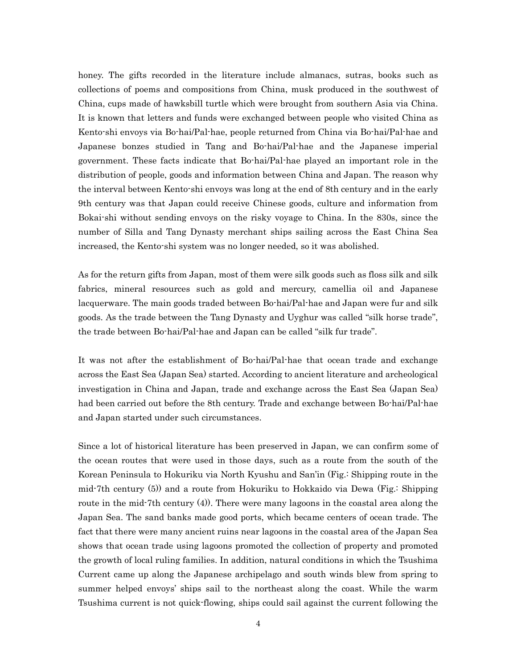honey. The gifts recorded in the literature include almanacs, sutras, books such as collections of poems and compositions from China, musk produced in the southwest of China, cups made of hawksbill turtle which were brought from southern Asia via China. It is known that letters and funds were exchanged between people who visited China as Kento-shi envoys via Bo-hai/Pal-hae, people returned from China via Bo-hai/Pal-hae and Japanese bonzes studied in Tang and Bo-hai/Pal-hae and the Japanese imperial government. These facts indicate that Bo-hai/Pal-hae played an important role in the distribution of people, goods and information between China and Japan. The reason why the interval between Kento-shi envoys was long at the end of 8th century and in the early 9th century was that Japan could receive Chinese goods, culture and information from Bokai-shi without sending envoys on the risky voyage to China. In the 830s, since the number of Silla and Tang Dynasty merchant ships sailing across the East China Sea increased, the Kento-shi system was no longer needed, so it was abolished.

As for the return gifts from Japan, most of them were silk goods such as floss silk and silk fabrics, mineral resources such as gold and mercury, camellia oil and Japanese lacquerware. The main goods traded between Bo-hai/Pal-hae and Japan were fur and silk goods. As the trade between the Tang Dynasty and Uyghur was called "silk horse trade", the trade between Bo-hai/Pal-hae and Japan can be called "silk fur trade".

It was not after the establishment of Bo-hai/Pal-hae that ocean trade and exchange across the East Sea (Japan Sea) started. According to ancient literature and archeological investigation in China and Japan, trade and exchange across the East Sea (Japan Sea) had been carried out before the 8th century. Trade and exchange between Bo-hai/Pal-hae and Japan started under such circumstances.

Since a lot of historical literature has been preserved in Japan, we can confirm some of the ocean routes that were used in those days, such as a route from the south of the Korean Peninsula to Hokuriku via North Kyushu and San'in (Fig.: Shipping route in the mid-7th century (5)) and a route from Hokuriku to Hokkaido via Dewa (Fig.: Shipping route in the mid-7th century (4)). There were many lagoons in the coastal area along the Japan Sea. The sand banks made good ports, which became centers of ocean trade. The fact that there were many ancient ruins near lagoons in the coastal area of the Japan Sea shows that ocean trade using lagoons promoted the collection of property and promoted the growth of local ruling families. In addition, natural conditions in which the Tsushima Current came up along the Japanese archipelago and south winds blew from spring to summer helped envoys' ships sail to the northeast along the coast. While the warm Tsushima current is not quick-flowing, ships could sail against the current following the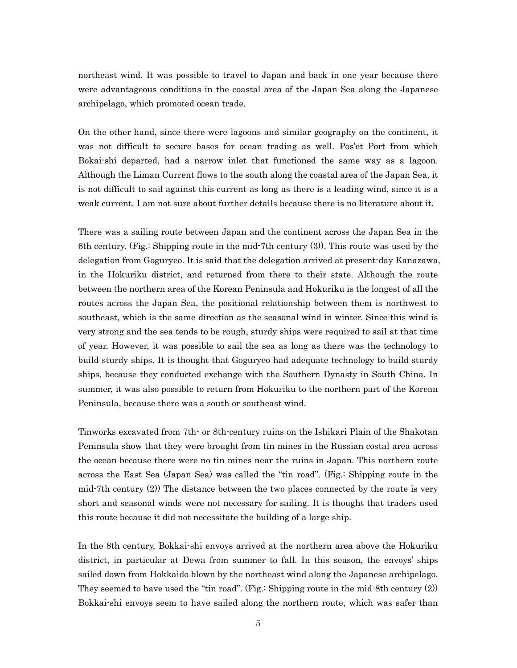northeast wind. It was possible to travel to Japan and back in one year because there were advantageous conditions in the coastal area of the Japan Sea along the Japanese archipelago, which promoted ocean trade.

On the other hand, since there were lagoons and similar geography on the continent, it was not difficult to secure bases for ocean trading as well. Pos'et Port from which Bokai-shi departed, had a narrow inlet that functioned the same way as a lagoon. Although the Liman Current flows to the south along the coastal area of the Japan Sea, it is not difficult to sail against this current as long as there is a leading wind, since it is a weak current. I am not sure about further details because there is no literature about it.

There was a sailing route between Japan and the continent across the Japan Sea in the 6th century. (Fig.: Shipping route in the mid-7th century (3)). This route was used by the delegation from Goguryeo. It is said that the delegation arrived at present-day Kanazawa, in the Hokuriku district, and returned from there to their state. Although the route between the northern area of the Korean Peninsula and Hokuriku is the longest of all the routes across the Japan Sea, the positional relationship between them is northwest to southeast, which is the same direction as the seasonal wind in winter. Since this wind is very strong and the sea tends to be rough, sturdy ships were required to sail at that time of year. However, it was possible to sail the sea as long as there was the technology to build sturdy ships. It is thought that Goguryeo had adequate technology to build sturdy ships, because they conducted exchange with the Southern Dynasty in South China. In summer, it was also possible to return from Hokuriku to the northern part of the Korean Peninsula, because there was a south or southeast wind.

Tinworks excavated from 7th- or 8th-century ruins on the Ishikari Plain of the Shakotan Peninsula show that they were brought from tin mines in the Russian costal area across the ocean because there were no tin mines near the ruins in Japan. This northern route across the East Sea (Japan Sea) was called the "tin road". (Fig.: Shipping route in the mid-7th century (2)) The distance between the two places connected by the route is very short and seasonal winds were not necessary for sailing. It is thought that traders used this route because it did not necessitate the building of a large ship.

In the 8th century, Bokkai-shi envoys arrived at the northern area above the Hokuriku district, in particular at Dewa from summer to fall. In this season, the envoys' ships sailed down from Hokkaido blown by the northeast wind along the Japanese archipelago. They seemed to have used the "tin road". (Fig.: Shipping route in the mid-8th century (2)) Bokkai-shi envoys seem to have sailed along the northern route, which was safer than